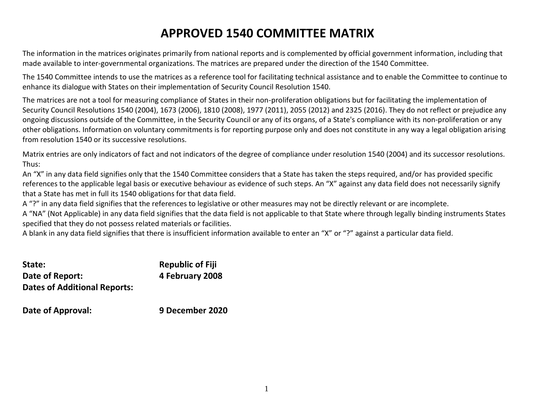# **APPROVED 1540 COMMITTEE MATRIX**

The information in the matrices originates primarily from national reports and is complemented by official government information, including that made available to inter-governmental organizations. The matrices are prepared under the direction of the 1540 Committee.

The 1540 Committee intends to use the matrices as a reference tool for facilitating technical assistance and to enable the Committee to continue to enhance its dialogue with States on their implementation of Security Council Resolution 1540.

The matrices are not a tool for measuring compliance of States in their non-proliferation obligations but for facilitating the implementation of Security Council Resolutions 1540 (2004), 1673 (2006), 1810 (2008), 1977 (2011), 2055 (2012) and 2325 (2016). They do not reflect or prejudice any ongoing discussions outside of the Committee, in the Security Council or any of its organs, of a State's compliance with its non-proliferation or any other obligations. Information on voluntary commitments is for reporting purpose only and does not constitute in any way a legal obligation arising from resolution 1540 or its successive resolutions.

Matrix entries are only indicators of fact and not indicators of the degree of compliance under resolution 1540 (2004) and its successor resolutions. Thus:

An "X" in any data field signifies only that the 1540 Committee considers that a State has taken the steps required, and/or has provided specific references to the applicable legal basis or executive behaviour as evidence of such steps. An "X" against any data field does not necessarily signify that a State has met in full its 1540 obligations for that data field.

A "?" in any data field signifies that the references to legislative or other measures may not be directly relevant or are incomplete.

A "NA" (Not Applicable) in any data field signifies that the data field is not applicable to that State where through legally binding instruments States specified that they do not possess related materials or facilities.

A blank in any data field signifies that there is insufficient information available to enter an "X" or "?" against a particular data field.

| State:                              | <b>Republic of Fiji</b> |
|-------------------------------------|-------------------------|
| Date of Report:                     | 4 February 2008         |
| <b>Dates of Additional Reports:</b> |                         |

**Date of Approval: 9 December 2020**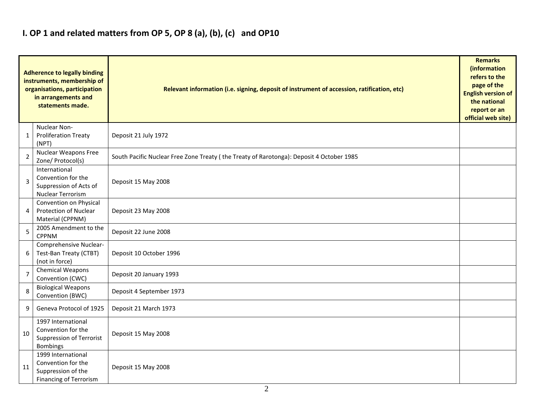## **I. OP 1 and related matters from OP 5, OP 8 (a), (b), (c) and OP10**

|                | <b>Adherence to legally binding</b><br>instruments, membership of<br>organisations, participation<br>in arrangements and<br>statements made. | Relevant information (i.e. signing, deposit of instrument of accession, ratification, etc) |  |  |  |  |  |  |  |
|----------------|----------------------------------------------------------------------------------------------------------------------------------------------|--------------------------------------------------------------------------------------------|--|--|--|--|--|--|--|
| 1              | Nuclear Non-<br><b>Proliferation Treaty</b><br>(NPT)                                                                                         | Deposit 21 July 1972                                                                       |  |  |  |  |  |  |  |
| $\overline{2}$ | Nuclear Weapons Free<br>Zone/ Protocol(s)                                                                                                    | South Pacific Nuclear Free Zone Treaty (the Treaty of Rarotonga): Deposit 4 October 1985   |  |  |  |  |  |  |  |
| $\overline{3}$ | International<br>Convention for the<br>Suppression of Acts of<br><b>Nuclear Terrorism</b>                                                    | Deposit 15 May 2008                                                                        |  |  |  |  |  |  |  |
| 4              | Convention on Physical<br>Protection of Nuclear<br>Material (CPPNM)                                                                          | Deposit 23 May 2008                                                                        |  |  |  |  |  |  |  |
| 5              | 2005 Amendment to the<br><b>CPPNM</b>                                                                                                        | Deposit 22 June 2008                                                                       |  |  |  |  |  |  |  |
| 6              | Comprehensive Nuclear-<br>Test-Ban Treaty (CTBT)<br>(not in force)                                                                           | Deposit 10 October 1996                                                                    |  |  |  |  |  |  |  |
| $\overline{7}$ | <b>Chemical Weapons</b><br>Convention (CWC)                                                                                                  | Deposit 20 January 1993                                                                    |  |  |  |  |  |  |  |
| 8              | <b>Biological Weapons</b><br>Convention (BWC)                                                                                                | Deposit 4 September 1973                                                                   |  |  |  |  |  |  |  |
| 9              | Geneva Protocol of 1925                                                                                                                      | Deposit 21 March 1973                                                                      |  |  |  |  |  |  |  |
| 10             | 1997 International<br>Convention for the<br><b>Suppression of Terrorist</b><br><b>Bombings</b>                                               | Deposit 15 May 2008                                                                        |  |  |  |  |  |  |  |
| 11             | 1999 International<br>Convention for the<br>Suppression of the<br><b>Financing of Terrorism</b>                                              | Deposit 15 May 2008                                                                        |  |  |  |  |  |  |  |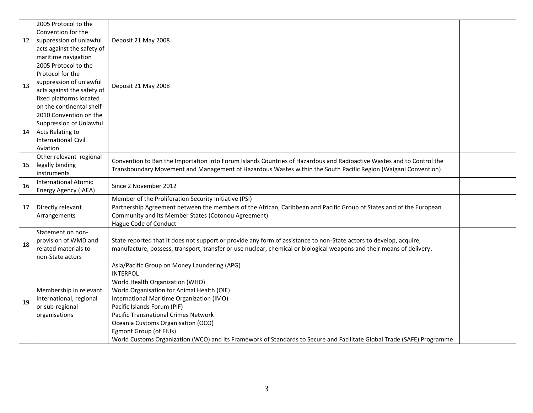|    | 2005 Protocol to the        |                                                                                                                        |  |  |  |  |  |  |
|----|-----------------------------|------------------------------------------------------------------------------------------------------------------------|--|--|--|--|--|--|
|    | Convention for the          |                                                                                                                        |  |  |  |  |  |  |
| 12 | suppression of unlawful     | Deposit 21 May 2008                                                                                                    |  |  |  |  |  |  |
|    | acts against the safety of  |                                                                                                                        |  |  |  |  |  |  |
|    | maritime navigation         |                                                                                                                        |  |  |  |  |  |  |
|    | 2005 Protocol to the        |                                                                                                                        |  |  |  |  |  |  |
|    | Protocol for the            |                                                                                                                        |  |  |  |  |  |  |
| 13 | suppression of unlawful     | Deposit 21 May 2008                                                                                                    |  |  |  |  |  |  |
|    | acts against the safety of  |                                                                                                                        |  |  |  |  |  |  |
|    | fixed platforms located     |                                                                                                                        |  |  |  |  |  |  |
|    | on the continental shelf    |                                                                                                                        |  |  |  |  |  |  |
|    | 2010 Convention on the      |                                                                                                                        |  |  |  |  |  |  |
|    | Suppression of Unlawful     |                                                                                                                        |  |  |  |  |  |  |
| 14 | Acts Relating to            |                                                                                                                        |  |  |  |  |  |  |
|    | <b>International Civil</b>  |                                                                                                                        |  |  |  |  |  |  |
|    | Aviation                    |                                                                                                                        |  |  |  |  |  |  |
|    | Other relevant regional     | Convention to Ban the Importation into Forum Islands Countries of Hazardous and Radioactive Wastes and to Control the  |  |  |  |  |  |  |
| 15 | legally binding             | Transboundary Movement and Management of Hazardous Wastes within the South Pacific Region (Waigani Convention)         |  |  |  |  |  |  |
|    | instruments                 |                                                                                                                        |  |  |  |  |  |  |
| 16 | <b>International Atomic</b> | Since 2 November 2012                                                                                                  |  |  |  |  |  |  |
|    | Energy Agency (IAEA)        | Member of the Proliferation Security Initiative (PSI)                                                                  |  |  |  |  |  |  |
| 17 | Directly relevant           | Partnership Agreement between the members of the African, Caribbean and Pacific Group of States and of the European    |  |  |  |  |  |  |
|    | Arrangements                | Community and its Member States (Cotonou Agreement)                                                                    |  |  |  |  |  |  |
|    |                             | Hague Code of Conduct                                                                                                  |  |  |  |  |  |  |
|    | Statement on non-           |                                                                                                                        |  |  |  |  |  |  |
|    | provision of WMD and        | State reported that it does not support or provide any form of assistance to non-State actors to develop, acquire,     |  |  |  |  |  |  |
| 18 | related materials to        | manufacture, possess, transport, transfer or use nuclear, chemical or biological weapons and their means of delivery.  |  |  |  |  |  |  |
|    | non-State actors            |                                                                                                                        |  |  |  |  |  |  |
|    |                             | Asia/Pacific Group on Money Laundering (APG)                                                                           |  |  |  |  |  |  |
|    |                             | <b>INTERPOL</b>                                                                                                        |  |  |  |  |  |  |
|    |                             | World Health Organization (WHO)                                                                                        |  |  |  |  |  |  |
|    | Membership in relevant      | World Organisation for Animal Health (OIE)                                                                             |  |  |  |  |  |  |
| 19 | international, regional     | International Maritime Organization (IMO)                                                                              |  |  |  |  |  |  |
|    | or sub-regional             | Pacific Islands Forum (PIF)                                                                                            |  |  |  |  |  |  |
|    | organisations               | <b>Pacific Transnational Crimes Network</b>                                                                            |  |  |  |  |  |  |
|    |                             | Oceania Customs Organisation (OCO)                                                                                     |  |  |  |  |  |  |
|    |                             | Egmont Group (of FIUs)                                                                                                 |  |  |  |  |  |  |
|    |                             | World Customs Organization (WCO) and its Framework of Standards to Secure and Facilitate Global Trade (SAFE) Programme |  |  |  |  |  |  |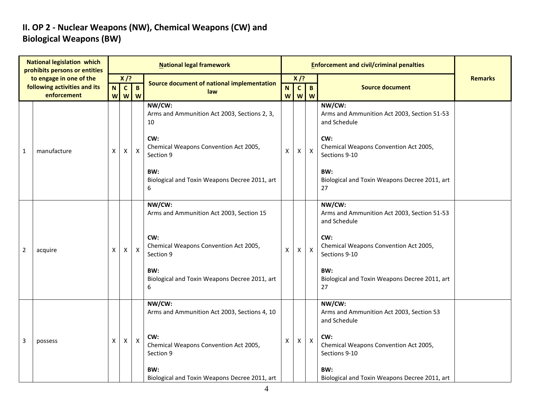### **II. OP 2 - Nuclear Weapons (NW), Chemical Weapons (CW) and Biological Weapons (BW)**

| <b>National legislation which</b><br>prohibits persons or entities |                                                         |   |                                             |                | <b>National legal framework</b>                              |    |                        |                           |                                                                       |                |
|--------------------------------------------------------------------|---------------------------------------------------------|---|---------------------------------------------|----------------|--------------------------------------------------------------|----|------------------------|---------------------------|-----------------------------------------------------------------------|----------------|
|                                                                    | to engage in one of the<br>following activities and its |   | $X$ /?<br>$\mathbf{c}$<br>$\mathbf{B}$<br>N |                | Source document of national implementation                   |    | $X$ /?<br>$\mathbf{c}$ | $\mathbf{B}$              | <b>Source document</b>                                                | <b>Remarks</b> |
|                                                                    | enforcement                                             |   | W<br>W                                      | W              | law                                                          | N. | w w w                  |                           |                                                                       |                |
|                                                                    |                                                         |   |                                             |                | NW/CW:<br>Arms and Ammunition Act 2003, Sections 2, 3,<br>10 |    |                        |                           | NW/CW:<br>Arms and Ammunition Act 2003, Section 51-53<br>and Schedule |                |
| 1                                                                  | manufacture                                             | X | Χ                                           | $\pmb{\times}$ | CW:<br>Chemical Weapons Convention Act 2005,<br>Section 9    | X  | X                      | $\boldsymbol{\mathsf{X}}$ | CW:<br>Chemical Weapons Convention Act 2005,<br>Sections 9-10         |                |
|                                                                    |                                                         |   |                                             |                | BW:<br>Biological and Toxin Weapons Decree 2011, art<br>6    |    |                        |                           | BW:<br>Biological and Toxin Weapons Decree 2011, art<br>27            |                |
|                                                                    |                                                         |   |                                             |                | NW/CW:<br>Arms and Ammunition Act 2003, Section 15           |    |                        |                           | NW/CW:<br>Arms and Ammunition Act 2003, Section 51-53<br>and Schedule |                |
| 2                                                                  | acquire                                                 | X | х                                           | $\mathsf{X}$   | CW:<br>Chemical Weapons Convention Act 2005,<br>Section 9    | Χ  | x                      | $\boldsymbol{\mathsf{X}}$ | CW:<br>Chemical Weapons Convention Act 2005,<br>Sections 9-10         |                |
|                                                                    |                                                         |   |                                             |                | BW:<br>Biological and Toxin Weapons Decree 2011, art<br>6    |    |                        |                           | BW:<br>Biological and Toxin Weapons Decree 2011, art<br>27            |                |
|                                                                    |                                                         |   |                                             |                | NW/CW:<br>Arms and Ammunition Act 2003, Sections 4, 10       |    |                        |                           | NW/CW:<br>Arms and Ammunition Act 2003, Section 53<br>and Schedule    |                |
| 3                                                                  | possess                                                 | X | X                                           | $\pmb{\times}$ | CW:<br>Chemical Weapons Convention Act 2005,<br>Section 9    | X  | X                      | $\mathsf{X}$              | CW:<br>Chemical Weapons Convention Act 2005,<br>Sections 9-10         |                |
|                                                                    |                                                         |   |                                             |                | BW:<br>Biological and Toxin Weapons Decree 2011, art         |    |                        |                           | BW:<br>Biological and Toxin Weapons Decree 2011, art                  |                |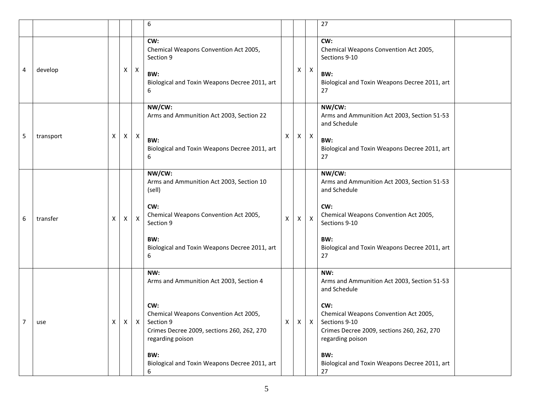|   |           |   |                    |              | 6                                                                                                                           |   |   |              | 27                                                                                                                              |  |
|---|-----------|---|--------------------|--------------|-----------------------------------------------------------------------------------------------------------------------------|---|---|--------------|---------------------------------------------------------------------------------------------------------------------------------|--|
| 4 | develop   |   | Χ                  | $\mathsf{X}$ | CW:<br>Chemical Weapons Convention Act 2005,<br>Section 9                                                                   |   | X | $\mathsf{X}$ | CW:<br>Chemical Weapons Convention Act 2005,<br>Sections 9-10                                                                   |  |
|   |           |   |                    |              | BW:<br>Biological and Toxin Weapons Decree 2011, art<br>6                                                                   |   |   |              | BW:<br>Biological and Toxin Weapons Decree 2011, art<br>27                                                                      |  |
|   |           |   |                    |              | NW/CW:<br>Arms and Ammunition Act 2003, Section 22                                                                          |   |   |              | NW/CW:<br>Arms and Ammunition Act 2003, Section 51-53<br>and Schedule                                                           |  |
| 5 | transport | Χ | $\pmb{\mathsf{X}}$ | $\mathsf{X}$ | BW:<br>Biological and Toxin Weapons Decree 2011, art<br>6                                                                   | X | X | $\mathsf{X}$ | BW:<br>Biological and Toxin Weapons Decree 2011, art<br>27                                                                      |  |
|   |           |   |                    |              | NW/CW:<br>Arms and Ammunition Act 2003, Section 10<br>(sell)                                                                |   |   |              | NW/CW:<br>Arms and Ammunition Act 2003, Section 51-53<br>and Schedule                                                           |  |
| 6 | transfer  | X | $\mathsf{X}$       | $\mathsf{X}$ | CW:<br>Chemical Weapons Convention Act 2005,<br>Section 9                                                                   | X | X | $\mathsf{X}$ | CW:<br>Chemical Weapons Convention Act 2005,<br>Sections 9-10                                                                   |  |
|   |           |   |                    |              | BW:<br>Biological and Toxin Weapons Decree 2011, art<br>6                                                                   |   |   |              | BW:<br>Biological and Toxin Weapons Decree 2011, art<br>27                                                                      |  |
|   |           |   |                    |              | NW:<br>Arms and Ammunition Act 2003, Section 4                                                                              |   |   |              | NW:<br>Arms and Ammunition Act 2003, Section 51-53<br>and Schedule                                                              |  |
|   | use       | X |                    | $X$   X      | CW:<br>Chemical Weapons Convention Act 2005,<br>Section 9<br>Crimes Decree 2009, sections 260, 262, 270<br>regarding poison | X |   | $X$   X      | CW:<br>Chemical Weapons Convention Act 2005,<br>Sections 9-10<br>Crimes Decree 2009, sections 260, 262, 270<br>regarding poison |  |
|   |           |   |                    |              | BW:<br>Biological and Toxin Weapons Decree 2011, art<br>6                                                                   |   |   |              | BW:<br>Biological and Toxin Weapons Decree 2011, art<br>27                                                                      |  |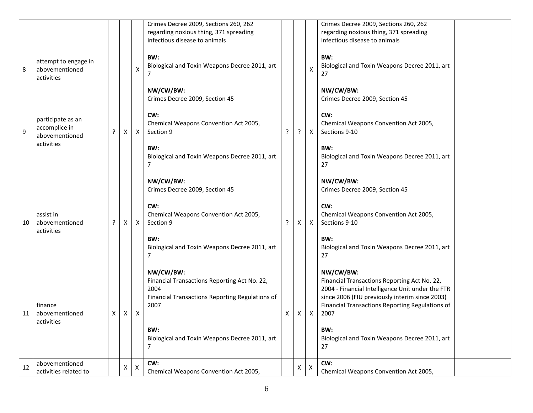|    |                                                                    |   |   |                           | Crimes Decree 2009, Sections 260, 262<br>regarding noxious thing, 371 spreading<br>infectious disease to animals                                                                          |   |   |   | Crimes Decree 2009, Sections 260, 262<br>regarding noxious thing, 371 spreading<br>infectious disease to animals                                                                                                                                                                         |  |
|----|--------------------------------------------------------------------|---|---|---------------------------|-------------------------------------------------------------------------------------------------------------------------------------------------------------------------------------------|---|---|---|------------------------------------------------------------------------------------------------------------------------------------------------------------------------------------------------------------------------------------------------------------------------------------------|--|
| 8  | attempt to engage in<br>abovementioned<br>activities               |   |   | х                         | BW:<br>Biological and Toxin Weapons Decree 2011, art<br>7                                                                                                                                 |   |   | х | BW:<br>Biological and Toxin Weapons Decree 2011, art<br>27                                                                                                                                                                                                                               |  |
| 9  | participate as an<br>accomplice in<br>abovementioned<br>activities | ? | X | X                         | NW/CW/BW:<br>Crimes Decree 2009, Section 45<br>CW:<br>Chemical Weapons Convention Act 2005,<br>Section 9<br>BW:<br>Biological and Toxin Weapons Decree 2011, art<br>7                     | ? | ? | X | NW/CW/BW:<br>Crimes Decree 2009, Section 45<br>CW:<br>Chemical Weapons Convention Act 2005,<br>Sections 9-10<br>BW:<br>Biological and Toxin Weapons Decree 2011, art<br>27                                                                                                               |  |
| 10 | assist in<br>abovementioned<br>activities                          | ? | X | Χ                         | NW/CW/BW:<br>Crimes Decree 2009, Section 45<br>CW:<br>Chemical Weapons Convention Act 2005,<br>Section 9<br>BW:<br>Biological and Toxin Weapons Decree 2011, art<br>7                     | ? | Χ | X | NW/CW/BW:<br>Crimes Decree 2009, Section 45<br>CW:<br>Chemical Weapons Convention Act 2005,<br>Sections 9-10<br>BW:<br>Biological and Toxin Weapons Decree 2011, art<br>27                                                                                                               |  |
| 11 | finance<br>abovementioned<br>activities                            | X | X | $\boldsymbol{\mathsf{X}}$ | NW/CW/BW:<br>Financial Transactions Reporting Act No. 22,<br>2004<br>Financial Transactions Reporting Regulations of<br>2007<br>BW:<br>Biological and Toxin Weapons Decree 2011, art<br>7 | X | X | X | NW/CW/BW:<br>Financial Transactions Reporting Act No. 22,<br>2004 - Financial Intelligence Unit under the FTR<br>since 2006 (FIU previously interim since 2003)<br>Financial Transactions Reporting Regulations of<br>2007<br>BW:<br>Biological and Toxin Weapons Decree 2011, art<br>27 |  |
| 12 | abovementioned<br>activities related to                            |   | X | X                         | CW:<br>Chemical Weapons Convention Act 2005,                                                                                                                                              |   | X | X | CW:<br>Chemical Weapons Convention Act 2005,                                                                                                                                                                                                                                             |  |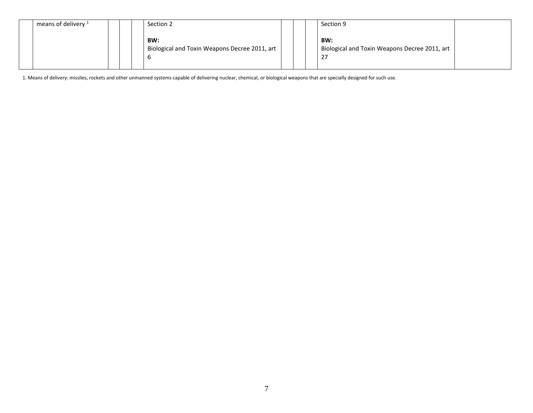| means of delivery $1$ |  | Section 2                                                 |  | Section 9                                                  |  |
|-----------------------|--|-----------------------------------------------------------|--|------------------------------------------------------------|--|
|                       |  | BW:<br>Biological and Toxin Weapons Decree 2011, art<br>b |  | BW:<br>Biological and Toxin Weapons Decree 2011, art<br>27 |  |

1. Means of delivery: missiles, rockets and other unmanned systems capable of delivering nuclear, chemical, or biological weapons that are specially designed for such use.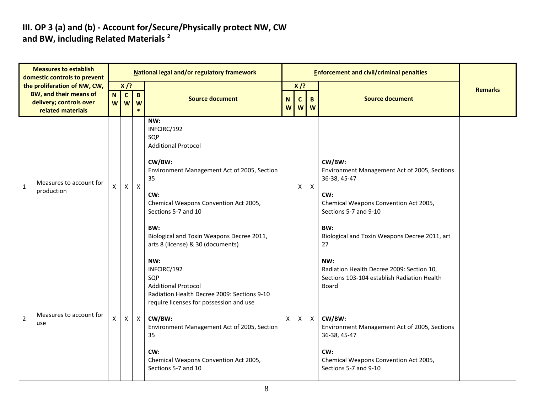#### **III. OP 3 (a) and (b) - Account for/Secure/Physically protect NW, CW and BW, including Related Materials <sup>2</sup>**

| <b>Measures to establish</b><br>domestic controls to prevent |                                                                                          | <b>National legal and/or regulatory framework</b> |                                       |                   |                                                                                                                                                                                                                                                                                         |                  |                             | <b>Enforcement and civil/criminal penalties</b> |                                                                                                                                                                                                                                                             |                |
|--------------------------------------------------------------|------------------------------------------------------------------------------------------|---------------------------------------------------|---------------------------------------|-------------------|-----------------------------------------------------------------------------------------------------------------------------------------------------------------------------------------------------------------------------------------------------------------------------------------|------------------|-----------------------------|-------------------------------------------------|-------------------------------------------------------------------------------------------------------------------------------------------------------------------------------------------------------------------------------------------------------------|----------------|
|                                                              | the proliferation of NW, CW,<br><b>BW, and their means of</b><br>delivery; controls over |                                                   | $X$ /?<br>$\mathbf{C}$<br>N<br>W<br>W | $\mathbf{B}$<br>W | <b>Source document</b>                                                                                                                                                                                                                                                                  | $\mathbf N$<br>W | $X$ /?<br>$\mathbf{C}$<br>W | B<br>W                                          | <b>Source document</b>                                                                                                                                                                                                                                      | <b>Remarks</b> |
| $\mathbf{1}$                                                 | related materials<br>Measures to account for<br>production                               | X                                                 | $\mathsf{X}$                          | $\mathsf{X}$      | NW:<br>INFCIRC/192<br>SQP<br><b>Additional Protocol</b><br>CW/BW:<br>Environment Management Act of 2005, Section<br>35<br>CW:<br>Chemical Weapons Convention Act 2005,<br>Sections 5-7 and 10<br>BW:<br>Biological and Toxin Weapons Decree 2011,<br>arts 8 (license) & 30 (documents)  |                  | X                           | $\mathsf{X}$                                    | CW/BW:<br>Environment Management Act of 2005, Sections<br>36-38, 45-47<br>CW:<br>Chemical Weapons Convention Act 2005,<br>Sections 5-7 and 9-10<br>BW:<br>Biological and Toxin Weapons Decree 2011, art<br>27                                               |                |
| $\overline{2}$                                               | Measures to account for<br>use                                                           | X                                                 | X                                     | $\mathsf{X}$      | NW:<br>INFCIRC/192<br>SQP<br><b>Additional Protocol</b><br>Radiation Health Decree 2009: Sections 9-10<br>require licenses for possession and use<br>CW/BW:<br>Environment Management Act of 2005, Section<br>35<br>CW:<br>Chemical Weapons Convention Act 2005,<br>Sections 5-7 and 10 | $\mathsf{X}$     | $\mathsf{X}^-$              | $\mathsf{X}$                                    | NW:<br>Radiation Health Decree 2009: Section 10,<br>Sections 103-104 establish Radiation Health<br>Board<br>CW/BW:<br>Environment Management Act of 2005, Sections<br>36-38, 45-47<br>CW:<br>Chemical Weapons Convention Act 2005,<br>Sections 5-7 and 9-10 |                |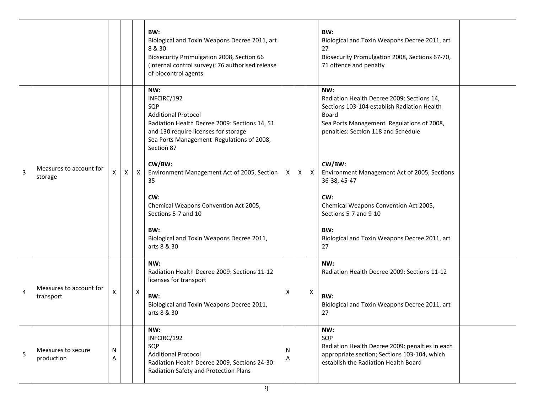|   |                                      |        |   |   | BW:<br>Biological and Toxin Weapons Decree 2011, art<br>8 & 30<br>Biosecurity Promulgation 2008, Section 66<br>(internal control survey); 76 authorised release<br>of biocontrol agents                     |        |   |   | BW:<br>Biological and Toxin Weapons Decree 2011, art<br>27<br>Biosecurity Promulgation 2008, Sections 67-70,<br>71 offence and penalty                                                        |  |
|---|--------------------------------------|--------|---|---|-------------------------------------------------------------------------------------------------------------------------------------------------------------------------------------------------------------|--------|---|---|-----------------------------------------------------------------------------------------------------------------------------------------------------------------------------------------------|--|
|   |                                      |        |   |   | NW:<br>INFCIRC/192<br>SQP<br><b>Additional Protocol</b><br>Radiation Health Decree 2009: Sections 14, 51<br>and 130 require licenses for storage<br>Sea Ports Management Regulations of 2008,<br>Section 87 |        |   |   | NW:<br>Radiation Health Decree 2009: Sections 14,<br>Sections 103-104 establish Radiation Health<br>Board<br>Sea Ports Management Regulations of 2008,<br>penalties: Section 118 and Schedule |  |
| 3 | Measures to account for<br>storage   | X      | X | X | CW/BW:<br>Environment Management Act of 2005, Section<br>35                                                                                                                                                 | X      | X | X | CW/BW:<br>Environment Management Act of 2005, Sections<br>36-38, 45-47                                                                                                                        |  |
|   |                                      |        |   |   | CW:<br>Chemical Weapons Convention Act 2005,<br>Sections 5-7 and 10                                                                                                                                         |        |   |   | CW:<br>Chemical Weapons Convention Act 2005,<br>Sections 5-7 and 9-10                                                                                                                         |  |
|   |                                      |        |   |   | BW:<br>Biological and Toxin Weapons Decree 2011,<br>arts 8 & 30                                                                                                                                             |        |   |   | BW:<br>Biological and Toxin Weapons Decree 2011, art<br>27                                                                                                                                    |  |
|   |                                      |        |   |   | NW:<br>Radiation Health Decree 2009: Sections 11-12<br>licenses for transport                                                                                                                               |        |   |   | NW:<br>Radiation Health Decree 2009: Sections 11-12                                                                                                                                           |  |
| 4 | Measures to account for<br>transport | Χ      |   | X | BW:<br>Biological and Toxin Weapons Decree 2011,<br>arts 8 & 30                                                                                                                                             | X      |   | X | BW:<br>Biological and Toxin Weapons Decree 2011, art<br>27                                                                                                                                    |  |
| 5 | Measures to secure<br>production     | N<br>А |   |   | NW:<br>INFCIRC/192<br>SQP<br><b>Additional Protocol</b><br>Radiation Health Decree 2009, Sections 24-30:<br>Radiation Safety and Protection Plans                                                           | N<br>A |   |   | NW:<br>SQP<br>Radiation Health Decree 2009: penalties in each<br>appropriate section; Sections 103-104, which<br>establish the Radiation Health Board                                         |  |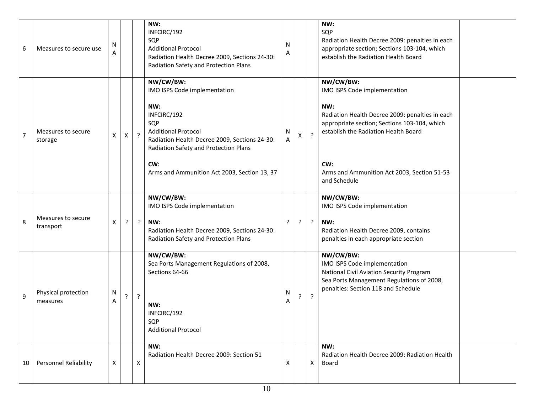| 6              | Measures to secure use          | N<br>A |         |              | NW:<br>INFCIRC/192<br>SQP<br><b>Additional Protocol</b><br>Radiation Health Decree 2009, Sections 24-30:<br>Radiation Safety and Protection Plans                                                                                                     | Ν<br>Α             |              |                | NW:<br>SQP<br>Radiation Health Decree 2009: penalties in each<br>appropriate section; Sections 103-104, which<br>establish the Radiation Health Board                                                                                                             |
|----------------|---------------------------------|--------|---------|--------------|-------------------------------------------------------------------------------------------------------------------------------------------------------------------------------------------------------------------------------------------------------|--------------------|--------------|----------------|-------------------------------------------------------------------------------------------------------------------------------------------------------------------------------------------------------------------------------------------------------------------|
| $\overline{7}$ | Measures to secure<br>storage   | X      | X       | $\cdot$ ?    | NW/CW/BW:<br>IMO ISPS Code implementation<br>NW:<br>INFCIRC/192<br>SQP<br><b>Additional Protocol</b><br>Radiation Health Decree 2009, Sections 24-30:<br>Radiation Safety and Protection Plans<br>CW:<br>Arms and Ammunition Act 2003, Section 13, 37 | N<br>A             | $\mathsf{X}$ | $\cdot$        | NW/CW/BW:<br>IMO ISPS Code implementation<br>NW:<br>Radiation Health Decree 2009: penalties in each<br>appropriate section; Sections 103-104, which<br>establish the Radiation Health Board<br>CW:<br>Arms and Ammunition Act 2003, Section 51-53<br>and Schedule |
| 8              | Measures to secure<br>transport | X      | ?       | $\mathbf{P}$ | NW/CW/BW:<br>IMO ISPS Code implementation<br>NW:<br>Radiation Health Decree 2009, Sections 24-30:<br>Radiation Safety and Protection Plans                                                                                                            | ?                  | ?            | $\cdot$        | NW/CW/BW:<br>IMO ISPS Code implementation<br>NW:<br>Radiation Health Decree 2009, contains<br>penalties in each appropriate section                                                                                                                               |
| 9              | Physical protection<br>measures | N<br>Α | $\cdot$ | $\cdot$      | NW/CW/BW:<br>Sea Ports Management Regulations of 2008,<br>Sections 64-66<br>NW:<br>INFCIRC/192<br>SQP<br><b>Additional Protocol</b>                                                                                                                   | N<br>Α             | ?            | $\overline{?}$ | NW/CW/BW:<br>IMO ISPS Code implementation<br>National Civil Aviation Security Program<br>Sea Ports Management Regulations of 2008,<br>penalties: Section 118 and Schedule                                                                                         |
| 10             | <b>Personnel Reliability</b>    | X      |         | X            | NW:<br>Radiation Health Decree 2009: Section 51                                                                                                                                                                                                       | $\pmb{\mathsf{X}}$ |              | X              | NW:<br>Radiation Health Decree 2009: Radiation Health<br>Board                                                                                                                                                                                                    |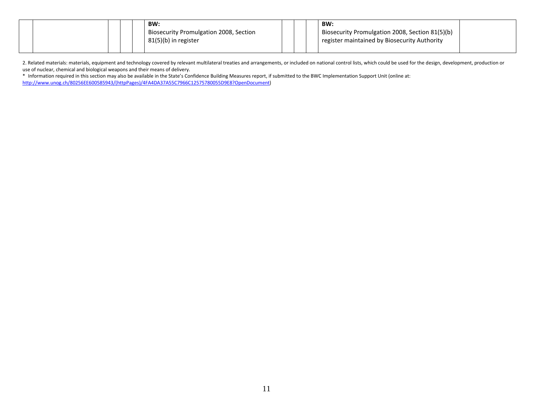|  |  | BW:                                                 |  | <b>BW:</b>                                      |  |
|--|--|-----------------------------------------------------|--|-------------------------------------------------|--|
|  |  | <sup>1</sup> Biosecurity Promulgation 2008, Section |  | Biosecurity Promulgation 2008, Section 81(5)(b) |  |
|  |  | 81(5)(b) in register                                |  | register maintained by Biosecurity Authority    |  |
|  |  |                                                     |  |                                                 |  |

2. Related materials: materials, equipment and technology covered by relevant multilateral treaties and arrangements, or included on national control lists, which could be used for the design, development, production or use of nuclear, chemical and biological weapons and their means of delivery.

\* Information required in this section may also be available in the State's Confidence Building Measures report, if submitted to the BWC Implementation Support Unit (online at: [http://www.unog.ch/80256EE600585943/\(httpPages\)/4FA4DA37A55C7966C12575780055D9E8?OpenDocument\)](http://www.unog.ch/80256EE600585943/(httpPages)/4FA4DA37A55C7966C12575780055D9E8?OpenDocument)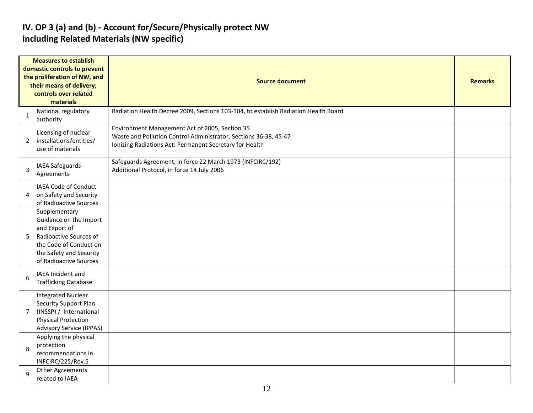#### **IV. OP 3 (a) and (b) - Account for/Secure/Physically protect NW including Related Materials (NW specific)**

|                | <b>Measures to establish</b><br>domestic controls to prevent<br>the proliferation of NW, and<br>their means of delivery;<br>controls over related<br>materials    | <b>Source document</b>                                                                                                                                                        |  |  |  |  |  |  |  |
|----------------|-------------------------------------------------------------------------------------------------------------------------------------------------------------------|-------------------------------------------------------------------------------------------------------------------------------------------------------------------------------|--|--|--|--|--|--|--|
| $\mathbf{1}$   | National regulatory<br>authority                                                                                                                                  | Radiation Health Decree 2009, Sections 103-104, to establish Radiation Health Board                                                                                           |  |  |  |  |  |  |  |
| $\overline{2}$ | Licensing of nuclear<br>installations/entities/<br>use of materials                                                                                               | Environment Management Act of 2005, Section 35<br>Waste and Pollution Control Administrator, Sections 36-38, 45-47<br>Ionizing Radiations Act: Permanent Secretary for Health |  |  |  |  |  |  |  |
| $\overline{3}$ | <b>IAEA Safeguards</b><br>Agreements                                                                                                                              | Safeguards Agreement, in force 22 March 1973 (INFCIRC/192)<br>Additional Protocol, in force 14 July 2006                                                                      |  |  |  |  |  |  |  |
| 4              | IAEA Code of Conduct<br>on Safety and Security<br>of Radioactive Sources                                                                                          |                                                                                                                                                                               |  |  |  |  |  |  |  |
| 5              | Supplementary<br>Guidance on the Import<br>and Export of<br>Radioactive Sources of<br>the Code of Conduct on<br>the Safety and Security<br>of Radioactive Sources |                                                                                                                                                                               |  |  |  |  |  |  |  |
| 6              | IAEA Incident and<br><b>Trafficking Database</b>                                                                                                                  |                                                                                                                                                                               |  |  |  |  |  |  |  |
| 7              | <b>Integrated Nuclear</b><br>Security Support Plan<br>(INSSP) / International<br><b>Physical Protection</b><br><b>Advisory Service (IPPAS)</b>                    |                                                                                                                                                                               |  |  |  |  |  |  |  |
| 8              | Applying the physical<br>protection<br>recommendations in<br>INFCIRC/225/Rev.5                                                                                    |                                                                                                                                                                               |  |  |  |  |  |  |  |
| 9              | Other Agreements<br>related to IAEA                                                                                                                               |                                                                                                                                                                               |  |  |  |  |  |  |  |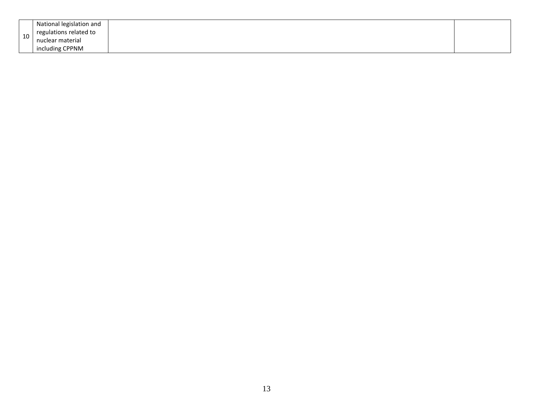| 10 | National legislation and<br>regulations related to<br>nuclear material |  |
|----|------------------------------------------------------------------------|--|
|    | including CPPNM                                                        |  |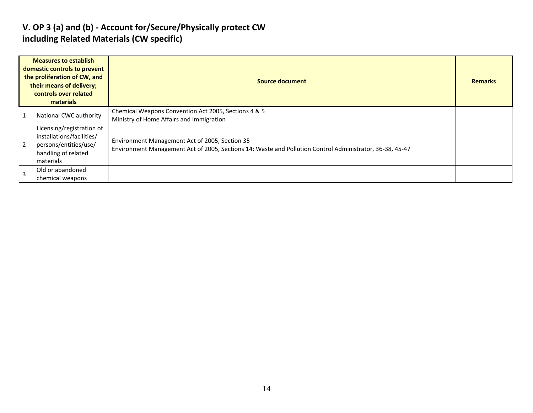#### **V. OP 3 (a) and (b) - Account for/Secure/Physically protect CW including Related Materials (CW specific)**

| <b>Measures to establish</b><br>domestic controls to prevent<br>the proliferation of CW, and<br>their means of delivery;<br>controls over related<br>materials |                                                                                                                     | <b>Source document</b>                                                                                                                                     |  |  |  |  |  |
|----------------------------------------------------------------------------------------------------------------------------------------------------------------|---------------------------------------------------------------------------------------------------------------------|------------------------------------------------------------------------------------------------------------------------------------------------------------|--|--|--|--|--|
|                                                                                                                                                                | National CWC authority                                                                                              | Chemical Weapons Convention Act 2005, Sections 4 & 5<br>Ministry of Home Affairs and Immigration                                                           |  |  |  |  |  |
|                                                                                                                                                                | Licensing/registration of<br>installations/facilities/<br>persons/entities/use/<br>handling of related<br>materials | Environment Management Act of 2005, Section 35<br>Environment Management Act of 2005, Sections 14: Waste and Pollution Control Administrator, 36-38, 45-47 |  |  |  |  |  |
|                                                                                                                                                                | Old or abandoned<br>chemical weapons                                                                                |                                                                                                                                                            |  |  |  |  |  |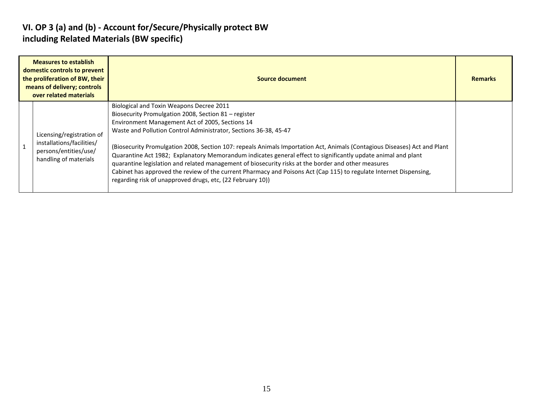#### **VI. OP 3 (a) and (b) - Account for/Secure/Physically protect BW including Related Materials (BW specific)**

| <b>Measures to establish</b><br>domestic controls to prevent<br>the proliferation of BW, their<br>means of delivery; controls<br>over related materials | Source document                                                                                                                                                                                                                                                                                                                                                                                                                                                                                                                                                                                                                                                                                                                                                  | <b>Remarks</b> |
|---------------------------------------------------------------------------------------------------------------------------------------------------------|------------------------------------------------------------------------------------------------------------------------------------------------------------------------------------------------------------------------------------------------------------------------------------------------------------------------------------------------------------------------------------------------------------------------------------------------------------------------------------------------------------------------------------------------------------------------------------------------------------------------------------------------------------------------------------------------------------------------------------------------------------------|----------------|
| Licensing/registration of<br>installations/facilities/<br>persons/entities/use/<br>handling of materials                                                | Biological and Toxin Weapons Decree 2011<br>Biosecurity Promulgation 2008, Section 81 – register<br>Environment Management Act of 2005, Sections 14<br>Waste and Pollution Control Administrator, Sections 36-38, 45-47<br>(Biosecurity Promulgation 2008, Section 107: repeals Animals Importation Act, Animals (Contagious Diseases) Act and Plant<br>Quarantine Act 1982; Explanatory Memorandum indicates general effect to significantly update animal and plant<br>quarantine legislation and related management of biosecurity risks at the border and other measures<br>Cabinet has approved the review of the current Pharmacy and Poisons Act (Cap 115) to regulate Internet Dispensing,<br>regarding risk of unapproved drugs, etc, (22 February 10)) |                |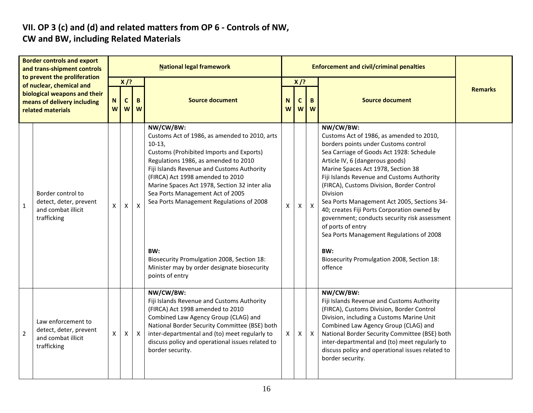#### **VII. OP 3 (c) and (d) and related matters from OP 6 - Controls of NW, CW and BW, including Related Materials**

| <b>Border controls and export</b><br>and trans-shipment controls |                                                                                                                                              | <b>National legal framework</b> |                                                |              |                                                                                                                                                                                                                                                                                                                                                                                                                                                                                                      |        |                  |               | <b>Enforcement and civil/criminal penalties</b>                                                                                                                                                                                                                                                                                                                                                                                                                                                                                                                                                           |                |  |  |  |
|------------------------------------------------------------------|----------------------------------------------------------------------------------------------------------------------------------------------|---------------------------------|------------------------------------------------|--------------|------------------------------------------------------------------------------------------------------------------------------------------------------------------------------------------------------------------------------------------------------------------------------------------------------------------------------------------------------------------------------------------------------------------------------------------------------------------------------------------------------|--------|------------------|---------------|-----------------------------------------------------------------------------------------------------------------------------------------------------------------------------------------------------------------------------------------------------------------------------------------------------------------------------------------------------------------------------------------------------------------------------------------------------------------------------------------------------------------------------------------------------------------------------------------------------------|----------------|--|--|--|
|                                                                  | to prevent the proliferation<br>of nuclear, chemical and<br>biological weapons and their<br>means of delivery including<br>related materials |                                 | $X$ /?<br>B<br>$\mathbf c$<br>N<br>W<br>W<br>W |              | <b>Source document</b>                                                                                                                                                                                                                                                                                                                                                                                                                                                                               | N<br>W | $X$ /?<br>C<br>W | B<br><b>W</b> | <b>Source document</b>                                                                                                                                                                                                                                                                                                                                                                                                                                                                                                                                                                                    | <b>Remarks</b> |  |  |  |
| $\mathbf{1}$                                                     | Border control to<br>detect, deter, prevent<br>and combat illicit<br>trafficking                                                             | X                               | X                                              | $\mathsf{x}$ | NW/CW/BW:<br>Customs Act of 1986, as amended to 2010, arts<br>$10-13,$<br>Customs (Prohibited Imports and Exports)<br>Regulations 1986, as amended to 2010<br>Fiji Islands Revenue and Customs Authority<br>(FIRCA) Act 1998 amended to 2010<br>Marine Spaces Act 1978, Section 32 inter alia<br>Sea Ports Management Act of 2005<br>Sea Ports Management Regulations of 2008<br>BW:<br>Biosecurity Promulgation 2008, Section 18:<br>Minister may by order designate biosecurity<br>points of entry | X      | X.               | $\mathsf{X}$  | NW/CW/BW:<br>Customs Act of 1986, as amended to 2010,<br>borders points under Customs control<br>Sea Carriage of Goods Act 1928: Schedule<br>Article IV, 6 (dangerous goods)<br>Marine Spaces Act 1978, Section 38<br>Fiji Islands Revenue and Customs Authority<br>(FIRCA), Customs Division, Border Control<br>Division<br>Sea Ports Management Act 2005, Sections 34-<br>40; creates Fiji Ports Corporation owned by<br>government; conducts security risk assessment<br>of ports of entry<br>Sea Ports Management Regulations of 2008<br>BW:<br>Biosecurity Promulgation 2008, Section 18:<br>offence |                |  |  |  |
| 2                                                                | Law enforcement to<br>detect, deter, prevent<br>and combat illicit<br>trafficking                                                            | X                               | X                                              | $\mathsf{X}$ | NW/CW/BW:<br>Fiji Islands Revenue and Customs Authority<br>(FIRCA) Act 1998 amended to 2010<br>Combined Law Agency Group (CLAG) and<br>National Border Security Committee (BSE) both<br>inter-departmental and (to) meet regularly to<br>discuss policy and operational issues related to<br>border security.                                                                                                                                                                                        | X.     | X.               | $\mathsf{X}$  | NW/CW/BW:<br>Fiji Islands Revenue and Customs Authority<br>(FIRCA), Customs Division, Border Control<br>Division, including a Customs Marine Unit<br>Combined Law Agency Group (CLAG) and<br>National Border Security Committee (BSE) both<br>inter-departmental and (to) meet regularly to<br>discuss policy and operational issues related to<br>border security.                                                                                                                                                                                                                                       |                |  |  |  |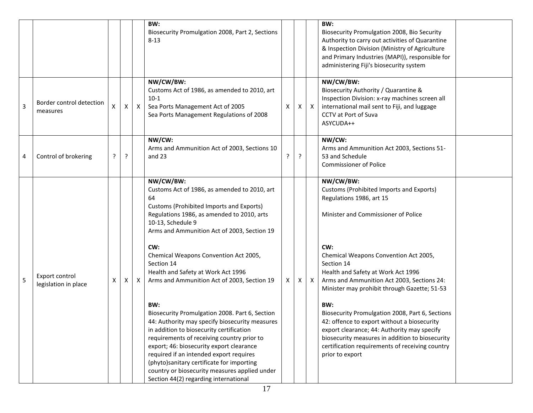|   |                                        |   |              |              | BW:<br>Biosecurity Promulgation 2008, Part 2, Sections<br>$8 - 13$                                                                                                                                                                                                                                                                                                                                                                                                                                                                                                                                                                                                                                                                                                                                                  |   |   |                           | BW:<br>Biosecurity Promulgation 2008, Bio Security<br>Authority to carry out activities of Quarantine<br>& Inspection Division (Ministry of Agriculture<br>and Primary Industries (MAPI)), responsible for<br>administering Fiji's biosecurity system                                                                                                                                                                                                                                                                                                                                                       |  |
|---|----------------------------------------|---|--------------|--------------|---------------------------------------------------------------------------------------------------------------------------------------------------------------------------------------------------------------------------------------------------------------------------------------------------------------------------------------------------------------------------------------------------------------------------------------------------------------------------------------------------------------------------------------------------------------------------------------------------------------------------------------------------------------------------------------------------------------------------------------------------------------------------------------------------------------------|---|---|---------------------------|-------------------------------------------------------------------------------------------------------------------------------------------------------------------------------------------------------------------------------------------------------------------------------------------------------------------------------------------------------------------------------------------------------------------------------------------------------------------------------------------------------------------------------------------------------------------------------------------------------------|--|
| 3 | Border control detection<br>measures   | X | $\mathsf{X}$ | $\mathsf{X}$ | NW/CW/BW:<br>Customs Act of 1986, as amended to 2010, art<br>$10-1$<br>Sea Ports Management Act of 2005<br>Sea Ports Management Regulations of 2008                                                                                                                                                                                                                                                                                                                                                                                                                                                                                                                                                                                                                                                                 | Χ | X | $\boldsymbol{\mathsf{X}}$ | NW/CW/BW:<br>Biosecurity Authority / Quarantine &<br>Inspection Division: x-ray machines screen all<br>international mail sent to Fiji, and luggage<br>CCTV at Port of Suva<br>ASYCUDA++                                                                                                                                                                                                                                                                                                                                                                                                                    |  |
| 4 | Control of brokering                   | ? | ?            |              | NW/CW:<br>Arms and Ammunition Act of 2003, Sections 10<br>and $23$                                                                                                                                                                                                                                                                                                                                                                                                                                                                                                                                                                                                                                                                                                                                                  | ŗ | ? |                           | NW/CW:<br>Arms and Ammunition Act 2003, Sections 51-<br>53 and Schedule<br><b>Commissioner of Police</b>                                                                                                                                                                                                                                                                                                                                                                                                                                                                                                    |  |
| 5 | Export control<br>legislation in place | X | X            | $\mathsf{X}$ | NW/CW/BW:<br>Customs Act of 1986, as amended to 2010, art<br>64<br>Customs (Prohibited Imports and Exports)<br>Regulations 1986, as amended to 2010, arts<br>10-13, Schedule 9<br>Arms and Ammunition Act of 2003, Section 19<br>CW:<br>Chemical Weapons Convention Act 2005,<br>Section 14<br>Health and Safety at Work Act 1996<br>Arms and Ammunition Act of 2003, Section 19<br>BW:<br>Biosecurity Promulgation 2008. Part 6, Section<br>44: Authority may specify biosecurity measures<br>in addition to biosecurity certification<br>requirements of receiving country prior to<br>export; 46: biosecurity export clearance<br>required if an intended export requires<br>(phyto)sanitary certificate for importing<br>country or biosecurity measures applied under<br>Section 44(2) regarding international | X | x | $\boldsymbol{\mathsf{X}}$ | NW/CW/BW:<br>Customs (Prohibited Imports and Exports)<br>Regulations 1986, art 15<br>Minister and Commissioner of Police<br>CW:<br>Chemical Weapons Convention Act 2005,<br>Section 14<br>Health and Safety at Work Act 1996<br>Arms and Ammunition Act 2003, Sections 24:<br>Minister may prohibit through Gazette; 51-53<br>BW:<br>Biosecurity Promulgation 2008, Part 6, Sections<br>42: offence to export without a biosecurity<br>export clearance; 44: Authority may specify<br>biosecurity measures in addition to biosecurity<br>certification requirements of receiving country<br>prior to export |  |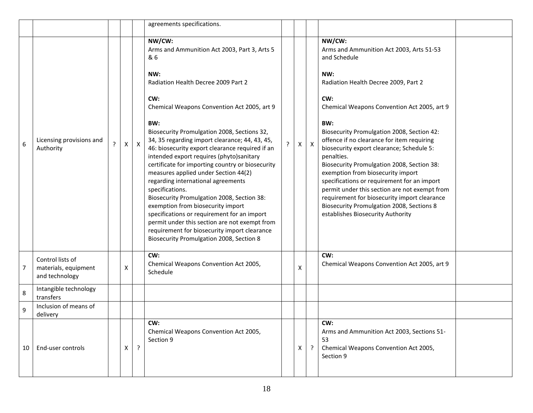|    |                                                            |   |   |              | agreements specifications.                                                                                                                                                                                                                                                                                                                                                                                                                                                                                                    |   |              |              |                                                                                                                                                                                                                                                                                                                                                                                                                                                                                                                          |  |
|----|------------------------------------------------------------|---|---|--------------|-------------------------------------------------------------------------------------------------------------------------------------------------------------------------------------------------------------------------------------------------------------------------------------------------------------------------------------------------------------------------------------------------------------------------------------------------------------------------------------------------------------------------------|---|--------------|--------------|--------------------------------------------------------------------------------------------------------------------------------------------------------------------------------------------------------------------------------------------------------------------------------------------------------------------------------------------------------------------------------------------------------------------------------------------------------------------------------------------------------------------------|--|
| 6  | Licensing provisions and<br>Authority                      | ? | X | $\mathsf{X}$ | NW/CW:<br>Arms and Ammunition Act 2003, Part 3, Arts 5<br>& 6<br>NW:<br>Radiation Health Decree 2009 Part 2<br>CW:<br>Chemical Weapons Convention Act 2005, art 9<br>BW:<br>Biosecurity Promulgation 2008, Sections 32,<br>34, 35 regarding import clearance; 44, 43, 45,<br>46: biosecurity export clearance required if an<br>intended export requires (phyto)sanitary<br>certificate for importing country or biosecurity<br>measures applied under Section 44(2)<br>regarding international agreements<br>specifications. | ? | $\mathsf{X}$ | $\mathsf{X}$ | NW/CW:<br>Arms and Ammunition Act 2003, Arts 51-53<br>and Schedule<br>NW:<br>Radiation Health Decree 2009, Part 2<br>CW:<br>Chemical Weapons Convention Act 2005, art 9<br>BW:<br>Biosecurity Promulgation 2008, Section 42:<br>offence if no clearance for item requiring<br>biosecurity export clearance; Schedule 5:<br>penalties.<br>Biosecurity Promulgation 2008, Section 38:<br>exemption from biosecurity import<br>specifications or requirement for an import<br>permit under this section are not exempt from |  |
|    |                                                            |   |   |              | Biosecurity Promulgation 2008, Section 38:<br>exemption from biosecurity import<br>specifications or requirement for an import<br>permit under this section are not exempt from<br>requirement for biosecurity import clearance<br>Biosecurity Promulgation 2008, Section 8                                                                                                                                                                                                                                                   |   |              |              | requirement for biosecurity import clearance<br><b>Biosecurity Promulgation 2008, Sections 8</b><br>establishes Biosecurity Authority                                                                                                                                                                                                                                                                                                                                                                                    |  |
| 7  | Control lists of<br>materials, equipment<br>and technology |   | Χ |              | CW:<br>Chemical Weapons Convention Act 2005,<br>Schedule                                                                                                                                                                                                                                                                                                                                                                                                                                                                      |   | Х            |              | CW:<br>Chemical Weapons Convention Act 2005, art 9                                                                                                                                                                                                                                                                                                                                                                                                                                                                       |  |
| 8  | Intangible technology<br>transfers                         |   |   |              |                                                                                                                                                                                                                                                                                                                                                                                                                                                                                                                               |   |              |              |                                                                                                                                                                                                                                                                                                                                                                                                                                                                                                                          |  |
| 9  | Inclusion of means of<br>delivery                          |   |   |              |                                                                                                                                                                                                                                                                                                                                                                                                                                                                                                                               |   |              |              |                                                                                                                                                                                                                                                                                                                                                                                                                                                                                                                          |  |
| 10 | End-user controls                                          |   | X | $\cdot$      | CW:<br>Chemical Weapons Convention Act 2005,<br>Section 9                                                                                                                                                                                                                                                                                                                                                                                                                                                                     |   | Χ            | $\cdot$      | CW:<br>Arms and Ammunition Act 2003, Sections 51-<br>53<br>Chemical Weapons Convention Act 2005,<br>Section 9                                                                                                                                                                                                                                                                                                                                                                                                            |  |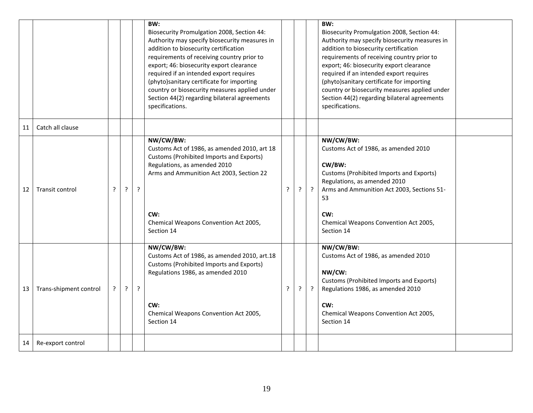|    |                        |   |   |         | BW:<br>Biosecurity Promulgation 2008, Section 44:<br>Authority may specify biosecurity measures in<br>addition to biosecurity certification<br>requirements of receiving country prior to<br>export; 46: biosecurity export clearance<br>required if an intended export requires<br>(phyto)sanitary certificate for importing<br>country or biosecurity measures applied under<br>Section 44(2) regarding bilateral agreements<br>specifications. |   |   |         | BW:<br>Biosecurity Promulgation 2008, Section 44:<br>Authority may specify biosecurity measures in<br>addition to biosecurity certification<br>requirements of receiving country prior to<br>export; 46: biosecurity export clearance<br>required if an intended export requires<br>(phyto)sanitary certificate for importing<br>country or biosecurity measures applied under<br>Section 44(2) regarding bilateral agreements<br>specifications. |
|----|------------------------|---|---|---------|---------------------------------------------------------------------------------------------------------------------------------------------------------------------------------------------------------------------------------------------------------------------------------------------------------------------------------------------------------------------------------------------------------------------------------------------------|---|---|---------|---------------------------------------------------------------------------------------------------------------------------------------------------------------------------------------------------------------------------------------------------------------------------------------------------------------------------------------------------------------------------------------------------------------------------------------------------|
| 11 | Catch all clause       |   |   |         |                                                                                                                                                                                                                                                                                                                                                                                                                                                   |   |   |         |                                                                                                                                                                                                                                                                                                                                                                                                                                                   |
| 12 | <b>Transit control</b> | ? | ? | ?       | NW/CW/BW:<br>Customs Act of 1986, as amended 2010, art 18<br>Customs (Prohibited Imports and Exports)<br>Regulations, as amended 2010<br>Arms and Ammunition Act 2003, Section 22<br>CW:<br>Chemical Weapons Convention Act 2005,<br>Section 14                                                                                                                                                                                                   | ŗ | ? | $\cdot$ | NW/CW/BW:<br>Customs Act of 1986, as amended 2010<br>CW/BW:<br>Customs (Prohibited Imports and Exports)<br>Regulations, as amended 2010<br>Arms and Ammunition Act 2003, Sections 51-<br>53<br>CW:<br>Chemical Weapons Convention Act 2005,<br>Section 14                                                                                                                                                                                         |
| 13 | Trans-shipment control | ? | ŗ | $\cdot$ | NW/CW/BW:<br>Customs Act of 1986, as amended 2010, art.18<br>Customs (Prohibited Imports and Exports)<br>Regulations 1986, as amended 2010<br>CW:<br>Chemical Weapons Convention Act 2005,<br>Section 14                                                                                                                                                                                                                                          | ? | ? | $\cdot$ | NW/CW/BW:<br>Customs Act of 1986, as amended 2010<br>NW/CW:<br>Customs (Prohibited Imports and Exports)<br>Regulations 1986, as amended 2010<br>CW:<br>Chemical Weapons Convention Act 2005,<br>Section 14                                                                                                                                                                                                                                        |
| 14 | Re-export control      |   |   |         |                                                                                                                                                                                                                                                                                                                                                                                                                                                   |   |   |         |                                                                                                                                                                                                                                                                                                                                                                                                                                                   |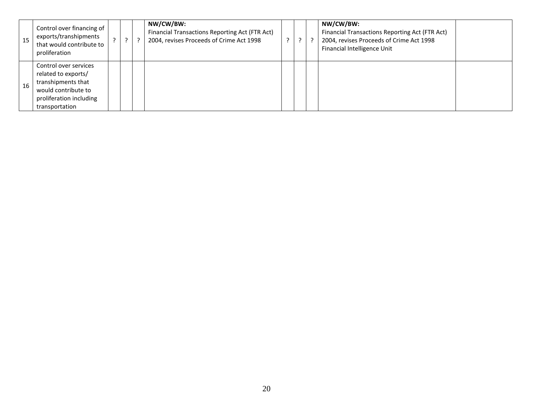| 15 | Control over financing of<br>exports/transhipments<br>that would contribute to<br>proliferation                                        |  | NW/CW/BW:<br>Financial Transactions Reporting Act (FTR Act)<br>2004, revises Proceeds of Crime Act 1998 |  | NW/CW/BW:<br>Financial Transactions Reporting Act (FTR Act)<br>2004, revises Proceeds of Crime Act 1998<br>Financial Intelligence Unit |  |
|----|----------------------------------------------------------------------------------------------------------------------------------------|--|---------------------------------------------------------------------------------------------------------|--|----------------------------------------------------------------------------------------------------------------------------------------|--|
| 16 | Control over services<br>related to exports/<br>transhipments that<br>would contribute to<br>proliferation including<br>transportation |  |                                                                                                         |  |                                                                                                                                        |  |